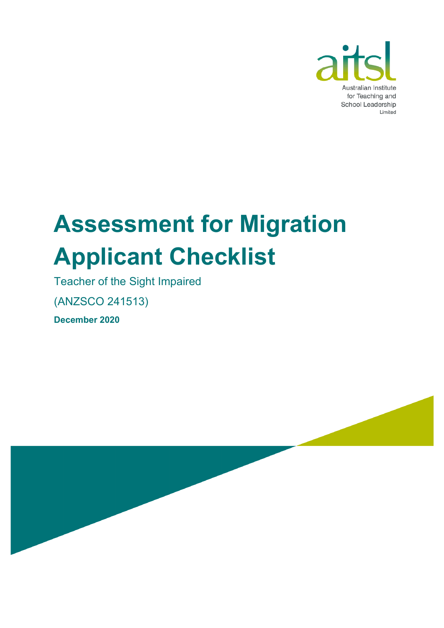

# **Assessment for Migration Applicant Checklist**

Teacher of the Sight Impaired

(ANZSCO 241513)

**December 2020**

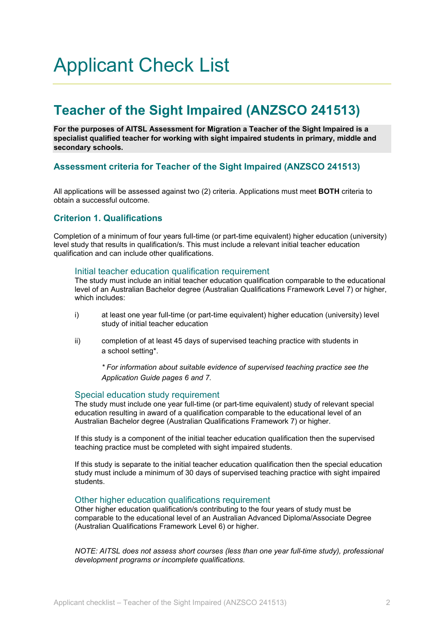# Applicant Check List

# **Teacher of the Sight Impaired (ANZSCO 241513)**

**For the purposes of AITSL Assessment for Migration a Teacher of the Sight Impaired is a specialist qualified teacher for working with sight impaired students in primary, middle and secondary schools.** 

# **Assessment criteria for Teacher of the Sight Impaired (ANZSCO 241513)**

All applications will be assessed against two (2) criteria. Applications must meet **BOTH** criteria to obtain a successful outcome.

# **Criterion 1. Qualifications**

Completion of a minimum of four years full-time (or part-time equivalent) higher education (university) level study that results in qualification/s. This must include a relevant initial teacher education qualification and can include other qualifications.

### Initial teacher education qualification requirement

The study must include an initial teacher education qualification comparable to the educational level of an Australian Bachelor degree (Australian Qualifications Framework Level 7) or higher, which includes:

- i) at least one year full-time (or part-time equivalent) higher education (university) level study of initial teacher education
- ii) completion of at least 45 days of supervised teaching practice with students in a school setting\*.

*\* For information about suitable evidence of supervised teaching practice see the Application Guide pages 6 and 7.*

### Special education study requirement

The study must include one year full-time (or part-time equivalent) study of relevant special education resulting in award of a qualification comparable to the educational level of an Australian Bachelor degree (Australian Qualifications Framework 7) or higher.

If this study is a component of the initial teacher education qualification then the supervised teaching practice must be completed with sight impaired students.

If this study is separate to the initial teacher education qualification then the special education study must include a minimum of 30 days of supervised teaching practice with sight impaired students.

### Other higher education qualifications requirement

Other higher education qualification/s contributing to the four years of study must be comparable to the educational level of an Australian Advanced Diploma/Associate Degree (Australian Qualifications Framework Level 6) or higher.

*NOTE: AITSL does not assess short courses (less than one year full-time study), professional development programs or incomplete qualifications.*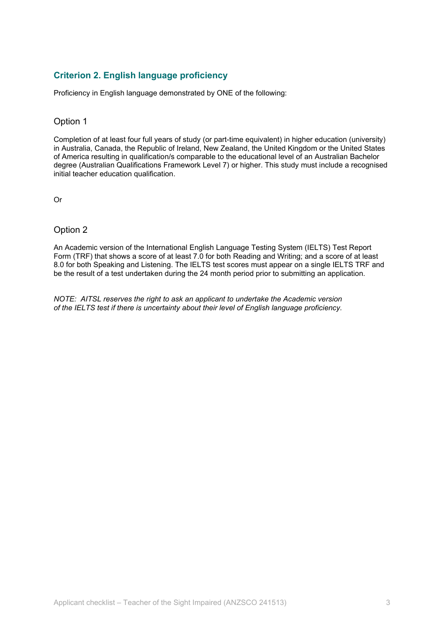# **Criterion 2. English language proficiency**

Proficiency in English language demonstrated by ONE of the following:

## Option 1

Completion of at least four full years of study (or part-time equivalent) in higher education (university) in Australia, Canada, the Republic of Ireland, New Zealand, the United Kingdom or the United States of America resulting in qualification/s comparable to the educational level of an Australian Bachelor degree (Australian Qualifications Framework Level 7) or higher. This study must include a recognised initial teacher education qualification.

Or

# Option 2

An Academic version of the International English Language Testing System (IELTS) Test Report Form (TRF) that shows a score of at least 7.0 for both Reading and Writing; and a score of at least 8.0 for both Speaking and Listening. The IELTS test scores must appear on a single IELTS TRF and be the result of a test undertaken during the 24 month period prior to submitting an application.

*NOTE: AITSL reserves the right to ask an applicant to undertake the Academic version of the IELTS test if there is uncertainty about their level of English language proficiency.*